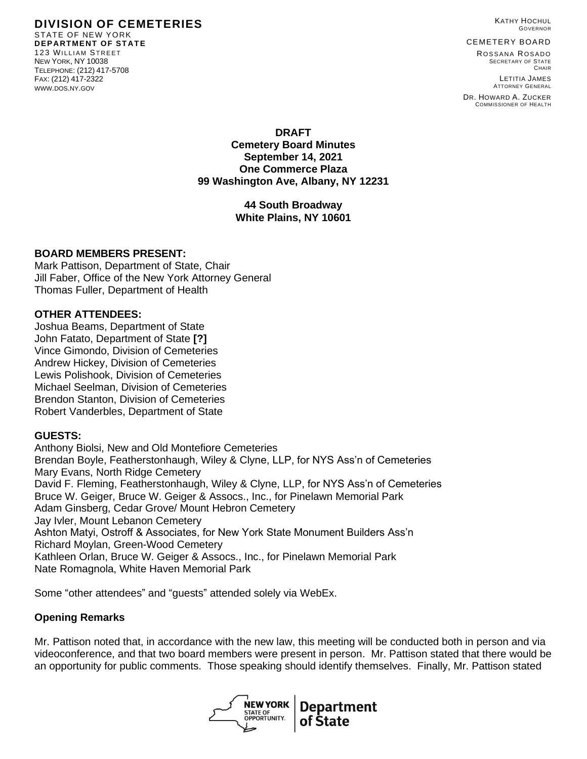**DIVISION OF CEMETERIES** STATE OF NEW YORK **DEPARTMENT OF STATE** 123 WILLIAM STREET NEW YORK, NY 10038 TELEPHONE: (212) 417-5708 FAX: (212) 417-2322 WWW.DOS.NY.GOV

KATHY HOCHUL GOVERNOR

CEMETERY BOARD

ROSSANA ROSADO SECRETARY OF STATE CHAIR

LETITIA JAMES ATTORNEY GENERAL

DR. HOWARD A. ZUCKER COMMISSIONER OF HEALTH

**DRAFT Cemetery Board Minutes September 14, 2021 One Commerce Plaza 99 Washington Ave, Albany, NY 12231**

### **44 South Broadway White Plains, NY 10601**

#### **BOARD MEMBERS PRESENT:**

Mark Pattison, Department of State, Chair Jill Faber, Office of the New York Attorney General Thomas Fuller, Department of Health

#### **OTHER ATTENDEES:**

Joshua Beams, Department of State John Fatato, Department of State **[?]** Vince Gimondo, Division of Cemeteries Andrew Hickey, Division of Cemeteries Lewis Polishook, Division of Cemeteries Michael Seelman, Division of Cemeteries Brendon Stanton, Division of Cemeteries Robert Vanderbles, Department of State

### **GUESTS:**

Anthony Biolsi, New and Old Montefiore Cemeteries Brendan Boyle, Featherstonhaugh, Wiley & Clyne, LLP, for NYS Ass'n of Cemeteries Mary Evans, North Ridge Cemetery David F. Fleming, Featherstonhaugh, Wiley & Clyne, LLP, for NYS Ass'n of Cemeteries Bruce W. Geiger, Bruce W. Geiger & Assocs., Inc., for Pinelawn Memorial Park Adam Ginsberg, Cedar Grove/ Mount Hebron Cemetery Jay Ivler, Mount Lebanon Cemetery Ashton Matyi, Ostroff & Associates, for New York State Monument Builders Ass'n Richard Moylan, Green-Wood Cemetery Kathleen Orlan, Bruce W. Geiger & Assocs., Inc., for Pinelawn Memorial Park Nate Romagnola, White Haven Memorial Park

Some "other attendees" and "guests" attended solely via WebEx.

### **Opening Remarks**

Mr. Pattison noted that, in accordance with the new law, this meeting will be conducted both in person and via videoconference, and that two board members were present in person. Mr. Pattison stated that there would be an opportunity for public comments. Those speaking should identify themselves. Finally, Mr. Pattison stated

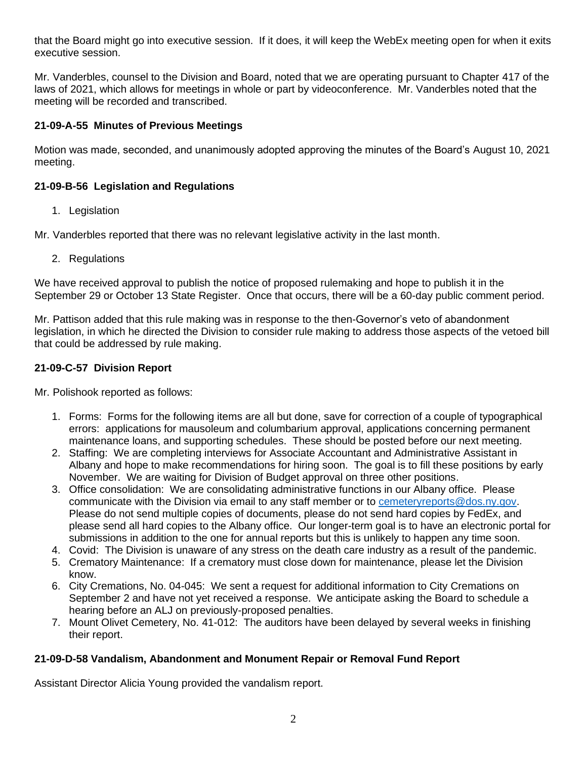that the Board might go into executive session. If it does, it will keep the WebEx meeting open for when it exits executive session.

Mr. Vanderbles, counsel to the Division and Board, noted that we are operating pursuant to Chapter 417 of the laws of 2021, which allows for meetings in whole or part by videoconference. Mr. Vanderbles noted that the meeting will be recorded and transcribed.

### **21-09-A-55 Minutes of Previous Meetings**

Motion was made, seconded, and unanimously adopted approving the minutes of the Board's August 10, 2021 meeting.

## **21-09-B-56 Legislation and Regulations**

1. Legislation

Mr. Vanderbles reported that there was no relevant legislative activity in the last month.

2. Regulations

We have received approval to publish the notice of proposed rulemaking and hope to publish it in the September 29 or October 13 State Register. Once that occurs, there will be a 60-day public comment period.

Mr. Pattison added that this rule making was in response to the then-Governor's veto of abandonment legislation, in which he directed the Division to consider rule making to address those aspects of the vetoed bill that could be addressed by rule making.

# **21-09-C-57 Division Report**

Mr. Polishook reported as follows:

- 1. Forms: Forms for the following items are all but done, save for correction of a couple of typographical errors: applications for mausoleum and columbarium approval, applications concerning permanent maintenance loans, and supporting schedules. These should be posted before our next meeting.
- 2. Staffing: We are completing interviews for Associate Accountant and Administrative Assistant in Albany and hope to make recommendations for hiring soon. The goal is to fill these positions by early November. We are waiting for Division of Budget approval on three other positions.
- 3. Office consolidation: We are consolidating administrative functions in our Albany office. Please communicate with the Division via email to any staff member or to [cemeteryreports@dos.ny.gov.](mailto:cemeteryreports@dos.ny.gov) Please do not send multiple copies of documents, please do not send hard copies by FedEx, and please send all hard copies to the Albany office. Our longer-term goal is to have an electronic portal for submissions in addition to the one for annual reports but this is unlikely to happen any time soon.
- 4. Covid: The Division is unaware of any stress on the death care industry as a result of the pandemic.
- 5. Crematory Maintenance: If a crematory must close down for maintenance, please let the Division know.
- 6. City Cremations, No. 04-045: We sent a request for additional information to City Cremations on September 2 and have not yet received a response. We anticipate asking the Board to schedule a hearing before an ALJ on previously-proposed penalties.
- 7. Mount Olivet Cemetery, No. 41-012: The auditors have been delayed by several weeks in finishing their report.

# **21-09-D-58 Vandalism, Abandonment and Monument Repair or Removal Fund Report**

Assistant Director Alicia Young provided the vandalism report.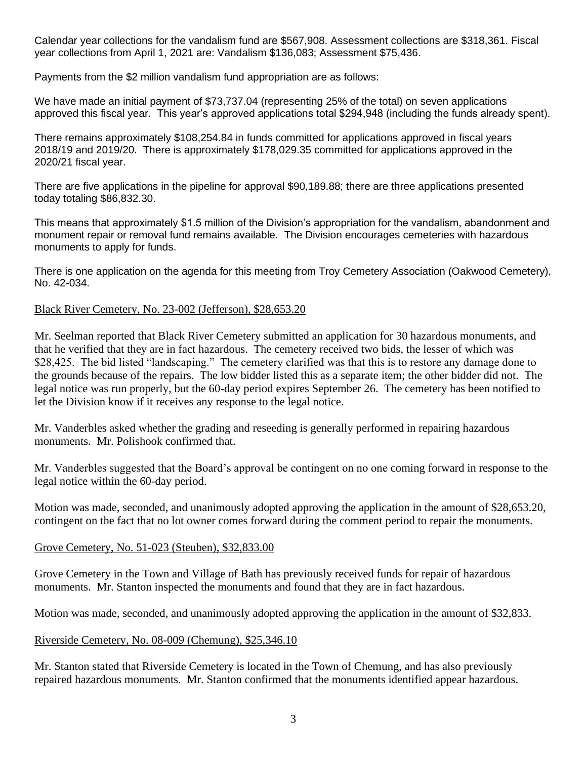Calendar year collections for the vandalism fund are \$567,908. Assessment collections are \$318,361. Fiscal year collections from April 1, 2021 are: Vandalism \$136,083; Assessment \$75,436.

Payments from the \$2 million vandalism fund appropriation are as follows:

We have made an initial payment of \$73,737.04 (representing 25% of the total) on seven applications approved this fiscal year. This year's approved applications total \$294,948 (including the funds already spent).

There remains approximately \$108,254.84 in funds committed for applications approved in fiscal years 2018/19 and 2019/20. There is approximately \$178,029.35 committed for applications approved in the 2020/21 fiscal year.

There are five applications in the pipeline for approval \$90,189.88; there are three applications presented today totaling \$86,832.30.

This means that approximately \$1.5 million of the Division's appropriation for the vandalism, abandonment and monument repair or removal fund remains available. The Division encourages cemeteries with hazardous monuments to apply for funds.

There is one application on the agenda for this meeting from Troy Cemetery Association (Oakwood Cemetery), No. 42-034.

### Black River Cemetery, No. 23-002 (Jefferson), \$28,653.20

Mr. Seelman reported that Black River Cemetery submitted an application for 30 hazardous monuments, and that he verified that they are in fact hazardous. The cemetery received two bids, the lesser of which was \$28,425. The bid listed "landscaping." The cemetery clarified was that this is to restore any damage done to the grounds because of the repairs. The low bidder listed this as a separate item; the other bidder did not. The legal notice was run properly, but the 60-day period expires September 26. The cemetery has been notified to let the Division know if it receives any response to the legal notice.

Mr. Vanderbles asked whether the grading and reseeding is generally performed in repairing hazardous monuments. Mr. Polishook confirmed that.

Mr. Vanderbles suggested that the Board's approval be contingent on no one coming forward in response to the legal notice within the 60-day period.

Motion was made, seconded, and unanimously adopted approving the application in the amount of \$28,653.20, contingent on the fact that no lot owner comes forward during the comment period to repair the monuments.

### Grove Cemetery, No. 51-023 (Steuben), \$32,833.00

Grove Cemetery in the Town and Village of Bath has previously received funds for repair of hazardous monuments. Mr. Stanton inspected the monuments and found that they are in fact hazardous.

Motion was made, seconded, and unanimously adopted approving the application in the amount of \$32,833.

### Riverside Cemetery, No. 08-009 (Chemung), \$25,346.10

Mr. Stanton stated that Riverside Cemetery is located in the Town of Chemung, and has also previously repaired hazardous monuments. Mr. Stanton confirmed that the monuments identified appear hazardous.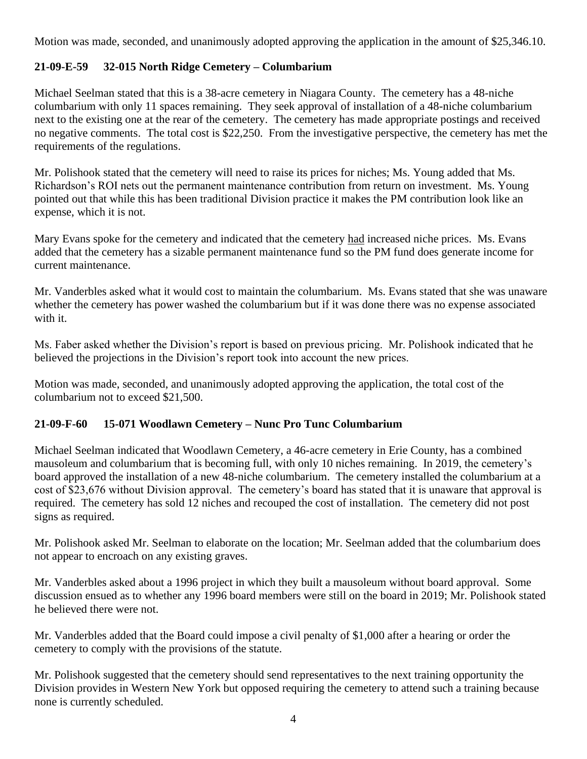Motion was made, seconded, and unanimously adopted approving the application in the amount of \$25,346.10.

# **21-09-E-59 32-015 North Ridge Cemetery – Columbarium**

Michael Seelman stated that this is a 38-acre cemetery in Niagara County. The cemetery has a 48-niche columbarium with only 11 spaces remaining. They seek approval of installation of a 48-niche columbarium next to the existing one at the rear of the cemetery. The cemetery has made appropriate postings and received no negative comments. The total cost is \$22,250. From the investigative perspective, the cemetery has met the requirements of the regulations.

Mr. Polishook stated that the cemetery will need to raise its prices for niches; Ms. Young added that Ms. Richardson's ROI nets out the permanent maintenance contribution from return on investment. Ms. Young pointed out that while this has been traditional Division practice it makes the PM contribution look like an expense, which it is not.

Mary Evans spoke for the cemetery and indicated that the cemetery had increased niche prices. Ms. Evans added that the cemetery has a sizable permanent maintenance fund so the PM fund does generate income for current maintenance.

Mr. Vanderbles asked what it would cost to maintain the columbarium. Ms. Evans stated that she was unaware whether the cemetery has power washed the columbarium but if it was done there was no expense associated with it.

Ms. Faber asked whether the Division's report is based on previous pricing. Mr. Polishook indicated that he believed the projections in the Division's report took into account the new prices.

Motion was made, seconded, and unanimously adopted approving the application, the total cost of the columbarium not to exceed \$21,500.

### **21-09-F-60 15-071 Woodlawn Cemetery – Nunc Pro Tunc Columbarium**

Michael Seelman indicated that Woodlawn Cemetery, a 46-acre cemetery in Erie County, has a combined mausoleum and columbarium that is becoming full, with only 10 niches remaining. In 2019, the cemetery's board approved the installation of a new 48-niche columbarium. The cemetery installed the columbarium at a cost of \$23,676 without Division approval. The cemetery's board has stated that it is unaware that approval is required. The cemetery has sold 12 niches and recouped the cost of installation. The cemetery did not post signs as required.

Mr. Polishook asked Mr. Seelman to elaborate on the location; Mr. Seelman added that the columbarium does not appear to encroach on any existing graves.

Mr. Vanderbles asked about a 1996 project in which they built a mausoleum without board approval. Some discussion ensued as to whether any 1996 board members were still on the board in 2019; Mr. Polishook stated he believed there were not.

Mr. Vanderbles added that the Board could impose a civil penalty of \$1,000 after a hearing or order the cemetery to comply with the provisions of the statute.

Mr. Polishook suggested that the cemetery should send representatives to the next training opportunity the Division provides in Western New York but opposed requiring the cemetery to attend such a training because none is currently scheduled.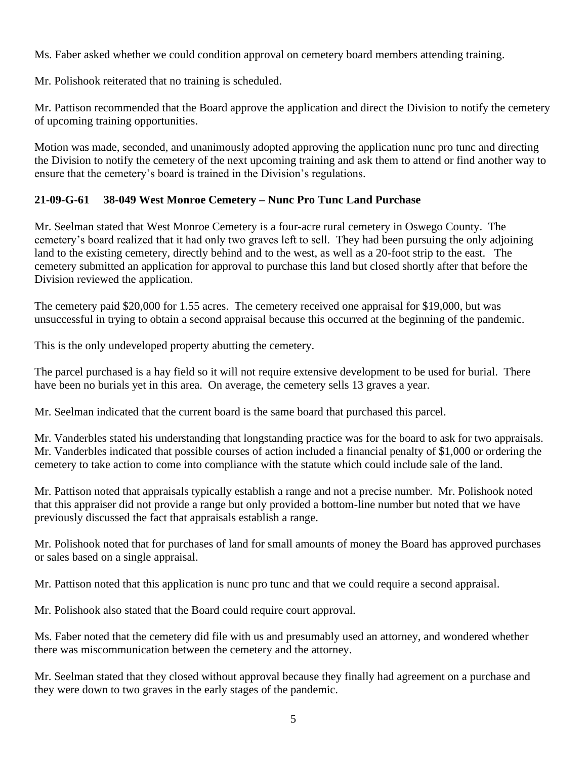Ms. Faber asked whether we could condition approval on cemetery board members attending training.

Mr. Polishook reiterated that no training is scheduled.

Mr. Pattison recommended that the Board approve the application and direct the Division to notify the cemetery of upcoming training opportunities.

Motion was made, seconded, and unanimously adopted approving the application nunc pro tunc and directing the Division to notify the cemetery of the next upcoming training and ask them to attend or find another way to ensure that the cemetery's board is trained in the Division's regulations.

# **21-09-G-61 38-049 West Monroe Cemetery – Nunc Pro Tunc Land Purchase**

Mr. Seelman stated that West Monroe Cemetery is a four-acre rural cemetery in Oswego County. The cemetery's board realized that it had only two graves left to sell. They had been pursuing the only adjoining land to the existing cemetery, directly behind and to the west, as well as a 20-foot strip to the east. The cemetery submitted an application for approval to purchase this land but closed shortly after that before the Division reviewed the application.

The cemetery paid \$20,000 for 1.55 acres. The cemetery received one appraisal for \$19,000, but was unsuccessful in trying to obtain a second appraisal because this occurred at the beginning of the pandemic.

This is the only undeveloped property abutting the cemetery.

The parcel purchased is a hay field so it will not require extensive development to be used for burial. There have been no burials yet in this area. On average, the cemetery sells 13 graves a year.

Mr. Seelman indicated that the current board is the same board that purchased this parcel.

Mr. Vanderbles stated his understanding that longstanding practice was for the board to ask for two appraisals. Mr. Vanderbles indicated that possible courses of action included a financial penalty of \$1,000 or ordering the cemetery to take action to come into compliance with the statute which could include sale of the land.

Mr. Pattison noted that appraisals typically establish a range and not a precise number. Mr. Polishook noted that this appraiser did not provide a range but only provided a bottom-line number but noted that we have previously discussed the fact that appraisals establish a range.

Mr. Polishook noted that for purchases of land for small amounts of money the Board has approved purchases or sales based on a single appraisal.

Mr. Pattison noted that this application is nunc pro tunc and that we could require a second appraisal.

Mr. Polishook also stated that the Board could require court approval.

Ms. Faber noted that the cemetery did file with us and presumably used an attorney, and wondered whether there was miscommunication between the cemetery and the attorney.

Mr. Seelman stated that they closed without approval because they finally had agreement on a purchase and they were down to two graves in the early stages of the pandemic.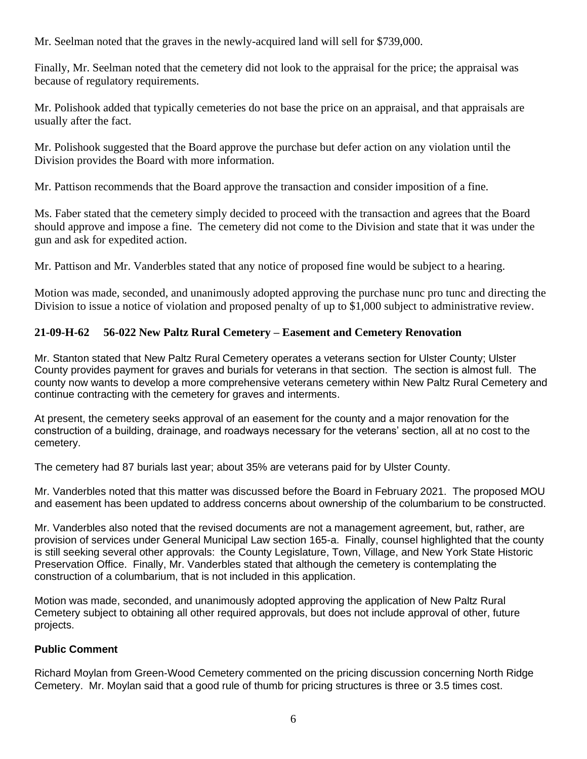Mr. Seelman noted that the graves in the newly-acquired land will sell for \$739,000.

Finally, Mr. Seelman noted that the cemetery did not look to the appraisal for the price; the appraisal was because of regulatory requirements.

Mr. Polishook added that typically cemeteries do not base the price on an appraisal, and that appraisals are usually after the fact.

Mr. Polishook suggested that the Board approve the purchase but defer action on any violation until the Division provides the Board with more information.

Mr. Pattison recommends that the Board approve the transaction and consider imposition of a fine.

Ms. Faber stated that the cemetery simply decided to proceed with the transaction and agrees that the Board should approve and impose a fine. The cemetery did not come to the Division and state that it was under the gun and ask for expedited action.

Mr. Pattison and Mr. Vanderbles stated that any notice of proposed fine would be subject to a hearing.

Motion was made, seconded, and unanimously adopted approving the purchase nunc pro tunc and directing the Division to issue a notice of violation and proposed penalty of up to \$1,000 subject to administrative review.

# **21-09-H-62 56-022 New Paltz Rural Cemetery – Easement and Cemetery Renovation**

Mr. Stanton stated that New Paltz Rural Cemetery operates a veterans section for Ulster County; Ulster County provides payment for graves and burials for veterans in that section. The section is almost full. The county now wants to develop a more comprehensive veterans cemetery within New Paltz Rural Cemetery and continue contracting with the cemetery for graves and interments.

At present, the cemetery seeks approval of an easement for the county and a major renovation for the construction of a building, drainage, and roadways necessary for the veterans' section, all at no cost to the cemetery.

The cemetery had 87 burials last year; about 35% are veterans paid for by Ulster County.

Mr. Vanderbles noted that this matter was discussed before the Board in February 2021. The proposed MOU and easement has been updated to address concerns about ownership of the columbarium to be constructed.

Mr. Vanderbles also noted that the revised documents are not a management agreement, but, rather, are provision of services under General Municipal Law section 165-a. Finally, counsel highlighted that the county is still seeking several other approvals: the County Legislature, Town, Village, and New York State Historic Preservation Office. Finally, Mr. Vanderbles stated that although the cemetery is contemplating the construction of a columbarium, that is not included in this application.

Motion was made, seconded, and unanimously adopted approving the application of New Paltz Rural Cemetery subject to obtaining all other required approvals, but does not include approval of other, future projects.

### **Public Comment**

Richard Moylan from Green-Wood Cemetery commented on the pricing discussion concerning North Ridge Cemetery. Mr. Moylan said that a good rule of thumb for pricing structures is three or 3.5 times cost.